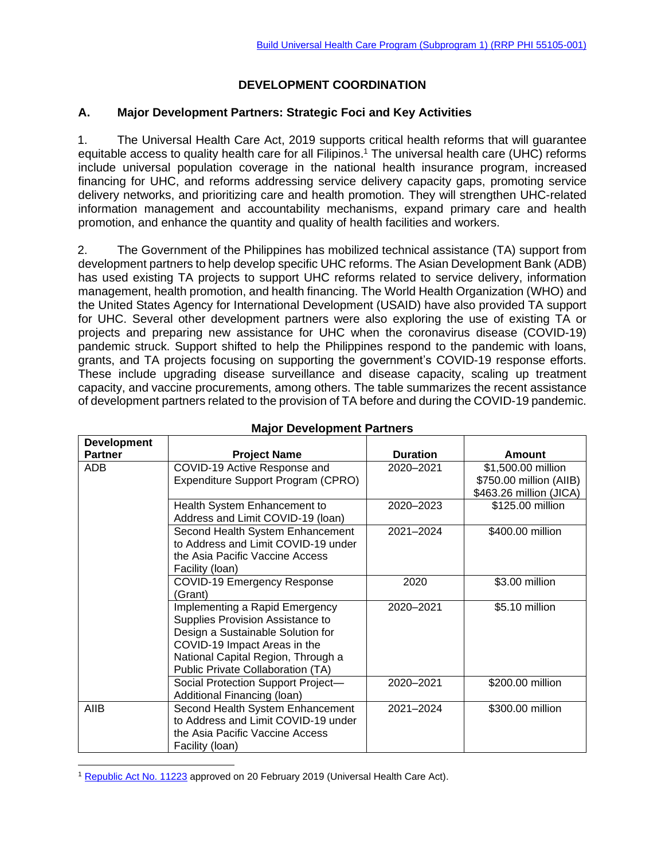# **DEVELOPMENT COORDINATION**

## **A. Major Development Partners: Strategic Foci and Key Activities**

1. The Universal Health Care Act, 2019 supports critical health reforms that will guarantee equitable access to quality health care for all Filipinos.<sup>1</sup> The universal health care (UHC) reforms include universal population coverage in the national health insurance program, increased financing for UHC, and reforms addressing service delivery capacity gaps, promoting service delivery networks, and prioritizing care and health promotion. They will strengthen UHC-related information management and accountability mechanisms, expand primary care and health promotion, and enhance the quantity and quality of health facilities and workers.

2. The Government of the Philippines has mobilized technical assistance (TA) support from development partners to help develop specific UHC reforms. The Asian Development Bank (ADB) has used existing TA projects to support UHC reforms related to service delivery, information management, health promotion, and health financing. The World Health Organization (WHO) and the United States Agency for International Development (USAID) have also provided TA support for UHC. Several other development partners were also exploring the use of existing TA or projects and preparing new assistance for UHC when the coronavirus disease (COVID-19) pandemic struck. Support shifted to help the Philippines respond to the pandemic with loans, grants, and TA projects focusing on supporting the government's COVID-19 response efforts. These include upgrading disease surveillance and disease capacity, scaling up treatment capacity, and vaccine procurements, among others. The table summarizes the recent assistance of development partners related to the provision of TA before and during the COVID-19 pandemic.

| <b>Development</b> |                                     |                 |                         |
|--------------------|-------------------------------------|-----------------|-------------------------|
| <b>Partner</b>     | <b>Project Name</b>                 | <b>Duration</b> | Amount                  |
| ADB                | COVID-19 Active Response and        | 2020-2021       | \$1,500.00 million      |
|                    | Expenditure Support Program (CPRO)  |                 | \$750.00 million (AIIB) |
|                    |                                     |                 | \$463.26 million (JICA) |
|                    | Health System Enhancement to        | 2020-2023       | \$125.00 million        |
|                    | Address and Limit COVID-19 (Ioan)   |                 |                         |
|                    | Second Health System Enhancement    | 2021-2024       | \$400.00 million        |
|                    | to Address and Limit COVID-19 under |                 |                         |
|                    | the Asia Pacific Vaccine Access     |                 |                         |
|                    | Facility (Ioan)                     |                 |                         |
|                    | COVID-19 Emergency Response         | 2020            | \$3.00 million          |
|                    | 'Grant)                             |                 |                         |
|                    | Implementing a Rapid Emergency      | 2020-2021       | \$5.10 million          |
|                    | Supplies Provision Assistance to    |                 |                         |
|                    | Design a Sustainable Solution for   |                 |                         |
|                    | COVID-19 Impact Areas in the        |                 |                         |
|                    | National Capital Region, Through a  |                 |                         |
|                    | Public Private Collaboration (TA)   |                 |                         |
|                    | Social Protection Support Project-  | 2020-2021       | \$200.00 million        |
|                    | Additional Financing (Ioan)         |                 |                         |
| AIIB               | Second Health System Enhancement    | 2021-2024       | \$300.00 million        |
|                    | to Address and Limit COVID-19 under |                 |                         |
|                    | the Asia Pacific Vaccine Access     |                 |                         |
|                    | Facility (Ioan)                     |                 |                         |

### **Major Development Partners**

<sup>&</sup>lt;sup>1</sup> [Republic Act No. 11223](https://www.officialgazette.gov.ph/downloads/2019/02feb/20190220-RA-11223-RRD.pdf) approved on 20 February 2019 (Universal Health Care Act).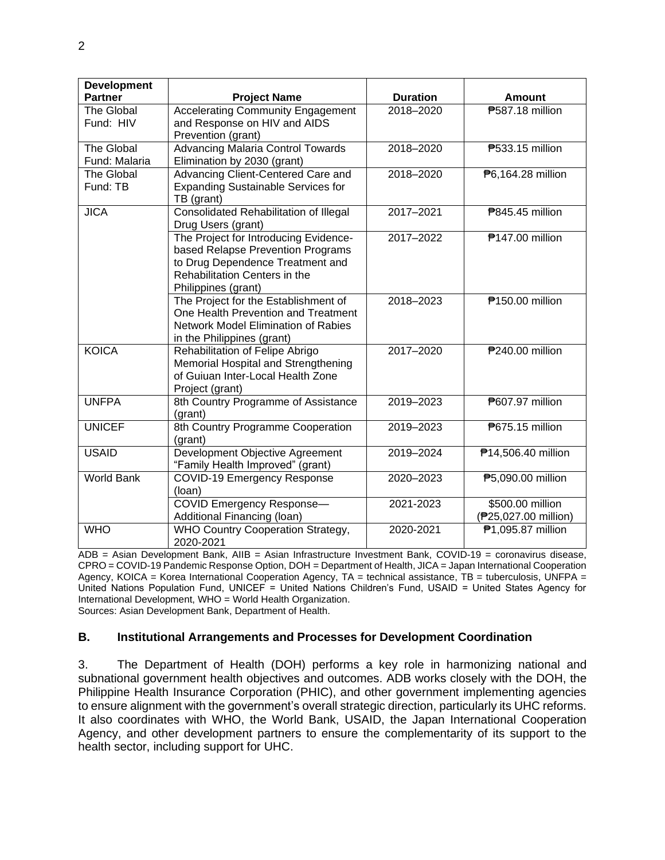| <b>Development</b>                 |                                                                                                                                                                        |                 |                                          |
|------------------------------------|------------------------------------------------------------------------------------------------------------------------------------------------------------------------|-----------------|------------------------------------------|
| <b>Partner</b>                     | <b>Project Name</b>                                                                                                                                                    | <b>Duration</b> | <b>Amount</b>                            |
| The Global<br>Fund: HIV            | <b>Accelerating Community Engagement</b><br>and Response on HIV and AIDS                                                                                               | 2018-2020       | <b>7587.18 million</b>                   |
|                                    | Prevention (grant)                                                                                                                                                     |                 |                                          |
| <b>The Global</b><br>Fund: Malaria | <b>Advancing Malaria Control Towards</b><br>Elimination by 2030 (grant)                                                                                                | 2018-2020       | <b>P533.15 million</b>                   |
| The Global                         | Advancing Client-Centered Care and                                                                                                                                     | 2018-2020       | P6,164.28 million                        |
| Fund: TB                           | <b>Expanding Sustainable Services for</b><br>TB (grant)                                                                                                                |                 |                                          |
| <b>JICA</b>                        | Consolidated Rehabilitation of Illegal<br>Drug Users (grant)                                                                                                           | 2017-2021       | <b>7845.45 million</b>                   |
|                                    | The Project for Introducing Evidence-<br>based Relapse Prevention Programs<br>to Drug Dependence Treatment and<br>Rehabilitation Centers in the<br>Philippines (grant) | 2017-2022       | <b>₱147.00 million</b>                   |
|                                    | The Project for the Establishment of<br>One Health Prevention and Treatment<br><b>Network Model Elimination of Rabies</b><br>in the Philippines (grant)                | 2018-2023       | ₱150.00 million                          |
| <b>KOICA</b>                       | Rehabilitation of Felipe Abrigo<br>Memorial Hospital and Strengthening<br>of Guiuan Inter-Local Health Zone<br>Project (grant)                                         | 2017-2020       | <b>P240.00 million</b>                   |
| <b>UNFPA</b>                       | 8th Country Programme of Assistance<br>(grant)                                                                                                                         | 2019-2023       | ₱607.97 million                          |
| <b>UNICEF</b>                      | 8th Country Programme Cooperation<br>(grant)                                                                                                                           | 2019-2023       | <b>P675.15 million</b>                   |
| <b>USAID</b>                       | Development Objective Agreement<br>"Family Health Improved" (grant)                                                                                                    | 2019-2024       | <b>M14,506.40 million</b>                |
| <b>World Bank</b>                  | COVID-19 Emergency Response<br>(loan)                                                                                                                                  | 2020-2023       | ₱5,090.00 million                        |
|                                    | <b>COVID Emergency Response-</b><br>Additional Financing (Ioan)                                                                                                        | 2021-2023       | \$500.00 million<br>(P25,027.00 million) |
| <b>WHO</b>                         | WHO Country Cooperation Strategy,<br>2020-2021                                                                                                                         | 2020-2021       | ₱1,095.87 million                        |

ADB = Asian Development Bank, AIIB = Asian Infrastructure Investment Bank, COVID-19 = coronavirus disease, CPRO = COVID-19 Pandemic Response Option, DOH = Department of Health, JICA = Japan International Cooperation Agency, KOICA = Korea International Cooperation Agency, TA = technical assistance, TB = tuberculosis, UNFPA = United Nations Population Fund, UNICEF = United Nations Children's Fund, USAID = United States Agency for International Development, WHO = World Health Organization.

Sources: Asian Development Bank, Department of Health.

### **B. Institutional Arrangements and Processes for Development Coordination**

3. The Department of Health (DOH) performs a key role in harmonizing national and subnational government health objectives and outcomes. ADB works closely with the DOH, the Philippine Health Insurance Corporation (PHIC), and other government implementing agencies to ensure alignment with the government's overall strategic direction, particularly its UHC reforms. It also coordinates with WHO, the World Bank, USAID, the Japan International Cooperation Agency, and other development partners to ensure the complementarity of its support to the health sector, including support for UHC.